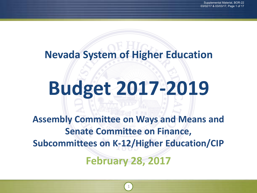# **Nevada System of Higher Education**

# **Budget 2017-2019**

**February 28, 2017 Assembly Committee on Ways and Means and Senate Committee on Finance, Subcommittees on K-12/Higher Education/CIP**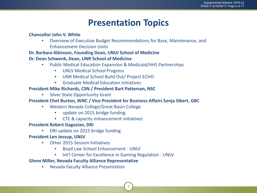### **Presentation Topics**

#### **Chancellor John V. White**

• Overview of Executive Budget Recommendations for Base, Maintenance, and Enhancement Decision Units

#### **Dr. Barbara Atkinson, Founding Dean, UNLV School of Medicine**

#### **Dr. Dean Schwenk, Dean, UNR School of Medicine**

- Public Medical Education Expansion & Medicaid/HHS Partnerships
	- UNLV Medical School Progress
	- UNR Medical School Build Out/ Project ECHO
	- Graduate Medical Education Initiatives

#### **President Mike Richards, CSN / President Bart Patterson, NSC**

• Silver State Opportunity Grant

#### **President Chet Burton, WNC / Vice President for Business Affairs Sonja Sibert, GBC**

- Western Nevada College/Great Basin College
	- update on 2015 bridge funding
	- CTE & capacity enhancement initiatives

#### **President Robert Gagosian, DRI**

• DRI update on 2015 bridge funding

#### **President Len Jessup, UNLV**

- Other 2015 Session Initiatives
	- Boyd Law School Enhancement UNLV
	- Int'l Center for Excellence in Gaming Regulation UNLV

2

#### **Glenn Miller, Nevada Faculty Alliance Representative**

• Nevada Faculty Alliance Presentation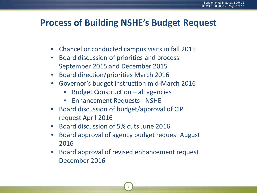### **Process of Building NSHE's Budget Request**

- Chancellor conducted campus visits in fall 2015
- Board discussion of priorities and process September 2015 and December 2015
- Board direction/priorities March 2016
- Governor's budget instruction mid-March 2016
	- Budget Construction all agencies
	- Enhancement Requests NSHE
- Board discussion of budget/approval of CIP request April 2016
- Board discussion of 5% cuts June 2016
- Board approval of agency budget request August 2016
- Board approval of revised enhancement request December 2016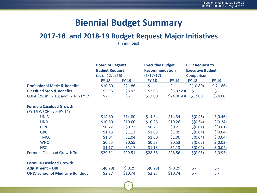### **Biennial Budget Summary**

#### **2017-18 and 2018-19 Budget Request Major Initiatives**

**(in millions)**

|                                              | <b>Board of Regents</b><br><b>Budget Request</b><br>(as of 12/2/16) |                | <b>Executive Budget</b><br><b>Recommendation</b><br>(1/17/17) |              | <b>BOR Request to</b><br><b>Executive Budget</b><br><b>Comparison</b> |                 |
|----------------------------------------------|---------------------------------------------------------------------|----------------|---------------------------------------------------------------|--------------|-----------------------------------------------------------------------|-----------------|
|                                              | <b>FY 18</b>                                                        | <b>FY 19</b>   | <b>FY 18</b>                                                  | <b>FY 19</b> | <b>FY 18</b>                                                          | <b>FY 19</b>    |
| <b>Professional Merit &amp; Benefits</b>     | \$10.80                                                             | \$21.86        | $\zeta$ -                                                     | $\zeta$ -    | \$(10.80)                                                             | \$(21.86)       |
| <b>Classified Step &amp; Benefits</b>        | \$2.93                                                              | \$3.92         | \$2.93                                                        | $$3.92$ est  | $\zeta$ -                                                             | $\frac{1}{2}$ - |
| <b>COLA</b> (2% in FY 18; add'l 2% in FY 19) | $\zeta$ -                                                           | $\mathsf{S}$ - | \$12.00                                                       | $$24.00$ est | \$12.00                                                               | \$24.00         |
| <b>Formula Caseload Growth</b>               |                                                                     |                |                                                               |              |                                                                       |                 |
| (FY 16 WSCH over FY 14)                      |                                                                     |                |                                                               |              |                                                                       |                 |
| <b>UNLV</b>                                  | \$14.80                                                             | \$14.80        | \$14.34                                                       | \$14.34      | \$(0.46)                                                              | \$(0.46)        |
| <b>UNR</b>                                   | \$10.60                                                             | \$10.60        | \$10.26                                                       | \$10.26      | \$(0.34)                                                              | \$(0.34)        |
| <b>CSN</b>                                   | \$0.22                                                              | \$0.22         | \$0.21                                                        | \$0.21       | \$(0.01)                                                              | \$(0.01)        |
| <b>GBC</b>                                   | \$1.13                                                              | \$1.13         | \$1.09                                                        | \$1.09       | \$(0.04)                                                              | \$(0.04)        |
| <b>TMCC</b>                                  | \$1.04                                                              | \$1.04         | \$1.00                                                        | \$1.00       | \$(0.04)                                                              | \$(0.04)        |
| <b>WNC</b>                                   | \$0.55                                                              | \$0.55         | \$0.53                                                        | \$0.53       | \$(0.02)                                                              | \$(0.02)        |
| <b>NSC</b>                                   | \$1.17                                                              | \$1.17         | \$1.13                                                        | \$1.13       | \$(0.04)                                                              | \$ (0.04)       |
| <b>Formula Caseload Growth Total</b>         | \$29.51                                                             | \$29.51        | \$28.56                                                       | \$28.56      | \$(0.95)                                                              | \$(0.95)        |
| <b>Formula Caseload Growth</b>               |                                                                     |                |                                                               |              |                                                                       |                 |
| <b>Adjustment - DRI</b>                      | \$(0.29)                                                            | \$(0.29)       | \$(0.29)                                                      | \$(0.29)     | \$-                                                                   | \$ -            |
| <b>UNLV School of Medicine Buildout</b>      | \$2.27                                                              | \$10.74        | \$2.27                                                        | \$10.74      | $\zeta$ -                                                             | $\zeta$ -       |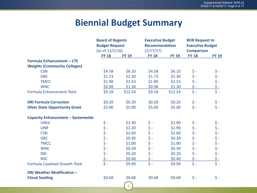### **Biennial Budget Summary**

|                                          | <b>Board of Regents</b><br><b>Budget Request</b> |              | <b>Executive Budget</b> |              | <b>BOR Request to</b>   |                              |  |
|------------------------------------------|--------------------------------------------------|--------------|-------------------------|--------------|-------------------------|------------------------------|--|
|                                          |                                                  |              | <b>Recommendation</b>   |              | <b>Executive Budget</b> |                              |  |
|                                          | (as of $12/2/16$ )                               |              | (1/17/17)               |              | <b>Comparison</b>       |                              |  |
|                                          | <b>FY 18</b>                                     | <b>FY 19</b> | <b>FY 18</b>            | <b>FY 19</b> | <b>FY 18</b>            | <b>FY 19</b>                 |  |
| <b>Formula Enhancement - CTE</b>         |                                                  |              |                         |              |                         |                              |  |
| <b>Weights (Community Colleges)</b>      |                                                  |              |                         |              |                         |                              |  |
| <b>CSN</b>                               | \$4.58                                           | \$6.10       | \$4.58                  | \$6.10       | $\zeta$ -               |                              |  |
| <b>GBC</b>                               | \$1.73                                           | \$2.30       | \$1.73                  | \$2.30       | $\frac{1}{2}$ -         |                              |  |
| <b>TMCC</b>                              | \$1.90                                           | \$2.53       | \$1.90                  | \$2.53       | $\frac{1}{2}$ =         |                              |  |
| <b>WNC</b>                               | \$0.98                                           | \$1.30       | \$0.98                  | \$1.30       | $5 -$                   | \$ -<br>\$ -<br>\$ -<br>\$ - |  |
| <b>Formula Enhancement Total</b>         | \$9.18                                           | \$12.24      | \$9.18                  | \$12.24      | $\frac{1}{2}$ =         |                              |  |
| <b>DRI Formula Correction</b>            | \$0.20                                           | \$0.20       | \$0.20                  | \$0.20       | $\zeta$ -               |                              |  |
| <b>Silver State Opportunity Grant</b>    | \$5.00                                           | \$5.00       | \$5.00                  | \$5.00       | $\zeta -$               | $\frac{5}{5}$ -              |  |
| <b>Capacity Enhancement - Systemwide</b> |                                                  |              |                         |              |                         |                              |  |
| <b>UNLV</b>                              |                                                  | \$2.90       | \$ -                    | \$2.90       |                         |                              |  |
| <b>UNR</b>                               |                                                  | \$2.20       | \$ -                    | \$2.90       | \$ -<br>\$ -            | \$\$\$\$\$<br>\$\$\$\$\$     |  |
| <b>CSN</b>                               |                                                  | \$2.60       | \$-                     | \$2.60       | $\frac{1}{2}$ -         |                              |  |
| <b>GBC</b>                               |                                                  | \$0.30       | \$ -                    | \$0.30       | $\uparrow$ -            |                              |  |
| <b>TMCC</b>                              | $\ddot{\S}$ -                                    | \$1.00       | $\ddot{\S}$ -           | \$1.00       | $\frac{1}{2}$ -         |                              |  |
| <b>WNC</b>                               | \$ -<br>\$ -                                     | \$0.39       | $\frac{1}{2}$ -         | \$0.39       | $\frac{1}{2}$ -         |                              |  |
| <b>DRI</b>                               |                                                  | \$0.20       | $\frac{1}{2}$ =         | \$0.20       | $\zeta$ -               |                              |  |
| <b>NSC</b>                               | $rac{\xi}{\xi}$ -                                | \$0.40       | $\zeta$ -               | \$0.40       | $\frac{1}{2}$ -         | \$ -<br>\$ -                 |  |
| <b>Formula Caseload Growth Total</b>     |                                                  | \$9.99       | $\zeta$ -               | \$9.99       | $\frac{1}{2}$ =         |                              |  |
| <b>DRI Weather Modification -</b>        |                                                  |              |                         |              |                         |                              |  |
| <b>Cloud Seeding</b>                     | \$0.68                                           | \$0.68       | \$0.68                  | \$0.68       | $\zeta$ -               | $\zeta$ -                    |  |
|                                          |                                                  | 5            |                         |              |                         |                              |  |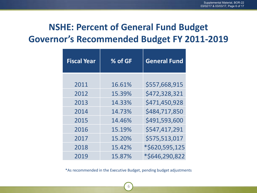# **NSHE: Percent of General Fund Budget Governor's Recommended Budget FY 2011-2019**

| <b>Fiscal Year</b> | % of GF | <b>General Fund</b> |
|--------------------|---------|---------------------|
|                    |         |                     |
| 2011               | 16.61%  | \$557,668,915       |
| 2012               | 15.39%  | \$472,328,321       |
| 2013               | 14.33%  | \$471,450,928       |
| 2014               | 14.73%  | \$484,717,850       |
| 2015               | 14.46%  | \$491,593,600       |
| 2016               | 15.19%  | \$547,417,291       |
| 2017               | 15.20%  | \$575,513,017       |
| 2018               | 15.42%  | *\$620,595,125      |
| 2019               | 15.87%  | *\$646,290,822      |

\*As recommended in the Executive Budget, pending budget adjustments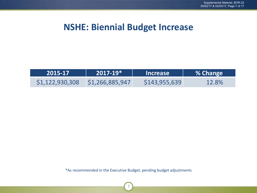### **NSHE: Biennial Budget Increase**

| \2015-17\       | $2017 - 19*$    | <b>Increase</b> | 8 % Change |
|-----------------|-----------------|-----------------|------------|
| \$1,122,930,308 | \$1,266,885,947 | \$143,955,639   | 12.8%      |

\*As recommended in the Executive Budget, pending budget adjustments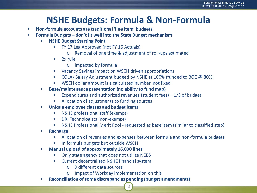### **NSHE Budgets: Formula & Non-Formula**

- **Non-formula accounts are traditional 'line item' budgets**
- **Formula Budgets don't fit well into the State Budget mechanism**
	- **NSHE Budget Starting Point**
		- FY 17 Leg Approved (not FY 16 Actuals)
			- o Removal of one time & adjustment of roll-ups estimated
		- 2x rule
			- o Impacted by formula
		- Vacancy Savings impact on WSCH driven appropriations
		- COLA/ Salary Adjustment budged by NSHE at 100% (funded to BOE @ 80%)
		- WSCH dollar amount is a calculated number, not fixed
	- **Base/maintenance presentation (no ability to fund map)**
		- Expenditures and authorized revenues (student fees)  $-1/3$  of budget
		- Allocation of adjustments to funding sources
	- **Unique employee classes and budget items**
		- NSHE professional staff (exempt)
		- DRI Technologists (non-exempt)
		- NSHE Professional Merit Pool requested as base item (similar to classified step)
	- **Recharge** 
		- Allocation of revenues and expenses between formula and non-formula budgets
		- In formula budgets but outside WSCH
	- **Manual upload of approximately 16,000 lines**
		- Only state agency that does not utilize NEBS
		- Current decentralized NSHE financial system
			- o 9 different data sources
			- o Impact of Workday implementation on this
	- **Reconciliation of some discrepancies pending (budget amendments)**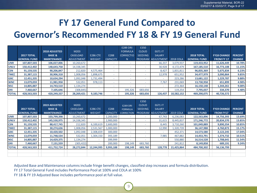# **FY 17 General Fund Compared to Governor's Recommended FY 18 & FY 19 General Fund**

|              |                     |                      |                   |                 |                 | <b>E289 DRI</b>   | E350           |                           |                  |                     |                    |                |
|--------------|---------------------|----------------------|-------------------|-----------------|-----------------|-------------------|----------------|---------------------------|------------------|---------------------|--------------------|----------------|
|              |                     | <b>2018 ADJUSTED</b> | M203              |                 |                 | <b>FORMULA</b>    | <b>CLOUD</b>   | E671 IT                   |                  |                     |                    |                |
|              | <b>2017 TOTAL</b>   | <b>BASE &amp;</b>    | CASELOAD          | <b>E286 CTE</b> | E288            | <b>CORRECTIO</b>  | <b>SEEDING</b> | <b>SALARY</b>             |                  | <b>2018 TOTAL</b>   | <b>FY18 CHANGE</b> | <b>PERCENT</b> |
|              | <b>GENERAL FUND</b> | <b>MAINTENANCE</b>   | <b>ADJUSTMENT</b> | WEIGHT          | <b>CAPACITY</b> | N                 |                | <b>PROGRAM ADJUSTMENT</b> | <b>2018 COLA</b> | <b>GENERAL FUND</b> | <b>FROM FY 17</b>  | <b>CHANGE</b>  |
| <b>UNR</b>   | 107,807,503         | 106,027,006          | 10,260,672        |                 |                 |                   |                | 66,337                    | 3,079,937        | 119,433,952         | 11,626,449         | 10.78%         |
| <b>UNLV</b>  | 150,412,402         | 148,643,758          | 14,338,345        |                 | ٠               | ٠                 | $\sim$         | 30,928                    | 4,172,479        | 167,185,510         | 16,773,108         | 11.15%         |
| <b>CSN</b>   | 91,159,535          | 90,206,847           | 212,820           | 4,575,464       |                 |                   |                | 8,427                     | 1,831,811        | 96,835,369          | 5,675,834          | 6.23%          |
| <b>TMCC</b>  | 31,387,115          | 30,906,318           | 1,008,056         | 1,898,675       | $\sim$          | ٠                 | ٠              | 12,978                    | 651,952          | 34,477,979          | 3,090,864          | 9.85%          |
| <b>GBC</b>   | 12,451,335          | 10,634,294           | 1,092,048         | 1,731,494       |                 |                   |                |                           | 223,286          | 13,681,122          | 1,229,787          | 9.88%          |
| <b>WNC</b>   | 13,079,059          | 11,981,958           | 532,051           | 978,113         | L               |                   |                | 7,767                     | 231,069          | 13,730,958          | 651,899            | 4.98%          |
| <b>NSC</b>   | 14,805,887          | 14,743,510           | 1,134,274         |                 |                 |                   |                |                           | 272,364          | 16,150,148          | 1,344,261          | 9.08%          |
| <b>DRI</b>   | 7,460,667           | 7,105,646            | (308, 845)        |                 |                 | 195,326           | 683,656        |                           | 119,254          | 7,795,037           | 334,370            | 4.48%          |
| <b>TOTAL</b> | 428,563,503         | 420,249,337          | 28,269,421        | 9,183,746       | ٠               | 195,326           | 683,656        | 126,437                   | 10,582,152       | 469,290,075         | 40,726,572         |                |
|              |                     |                      |                   |                 |                 |                   |                |                           |                  |                     |                    |                |
|              |                     |                      |                   |                 |                 |                   | E350           |                           |                  |                     |                    |                |
|              |                     | <b>2019 ADJUSTED</b> | M203              |                 |                 | <b>E289 DRI</b>   | <b>CLOUD</b>   | E671 IT                   |                  |                     |                    |                |
|              | <b>2017 TOTAL</b>   | <b>BASE &amp;</b>    | CASELOAD          | <b>E286 CTE</b> | E288            | <b>FORMULA</b>    | <b>SEEDING</b> | <b>SALARY</b>             |                  | <b>2019 TOTAL</b>   | <b>FY19 CHANGE</b> | <b>PERCENT</b> |
|              | <b>GENERAL FUND</b> | <b>MAINTENANCE</b>   | <b>ADJUSTMENT</b> | WEIGHT          | <b>CAPACITY</b> | <b>CORRECTION</b> |                | PROGRAM ADJUSTMENT        | <b>2019 COLA</b> | <b>GENERAL FUND</b> | <b>FROM FY17</b>   | <b>CHANGE</b>  |
| <b>UNR</b>   | 107,807,503         | 103,799,398          | 10,260,672        |                 | 2,200,000       |                   |                | 67,743                    | 6,236,083        | 122,563,896         | 14,756,393         | 13.69%         |
| <b>UNLV</b>  | 150,412,402         | 145,530,975          | 14,338,345        |                 | 2,900,000       |                   |                | 31,615                    | 8,445,837        | 171,246,772         | 20,834,370         | 13.85%         |
| <b>CSN</b>   | 91,159,535          | 88,417,745           | 212,820           | 6,100,619       | 2,600,000       |                   |                | 8,445                     | 3,710,260        | 101,049,889         | 9,890,354          | 10.85%         |
| <b>TMCC</b>  | 31,387,115          | 30,274,636           | 1,008,056         | 2,531,567       | 1,000,000       | ÷.                | $\sim$         | 12,990                    | 1,320,739        | 36,147,988          | 4,760,873          | 15.17%         |
| <b>GBC</b>   | 12,451,335          | 10,420,502           | 1,092,048         | 2,308,659       | 300,000         |                   | ٠              |                           | 452,371          | 14,573,580          | 2,122,245          | 17.04%         |
| <b>WNC</b>   | 13,079,059          | 11,748,534           | 532,051           | 1,304,150       | 393,189         |                   |                | 7,985                     | 467,882          | 14,453,791          | 1,374,732          | 10.51%         |
| <b>NSC</b>   | 14,805,887          | 14,429,375           | 1,134,274         |                 | 399,999         |                   |                |                           | 550,880          | 16,514,528          | 1,708,641          | 11.54%         |
| <b>DRI</b>   | 7,460,667           | 7,131,559            | (305, 422)        |                 | 200,000         | 198,149           | 683,760        |                           | 241,812          | 8,149,858           | 689,191            | 9.24%          |
| <b>TOTAL</b> |                     |                      |                   |                 |                 |                   |                | 128,778                   | 21,425,864       | 484,700,302         | 56,136,799         |                |
|              | 428,563,503         | 411,752,724          | 28,272,844        | 12,244,995      | 9,993,188       | 198,149           | 683,760        |                           |                  |                     |                    |                |
|              |                     |                      |                   |                 |                 |                   |                |                           |                  |                     |                    |                |

9

Adjusted Base and Maintenance columns include fringe benefit changes, classified step increases and formula distribution.

FY 17 Total General Fund includes Performance Pool at 100% and COLA at 100%

FY 18 & FY 19 Adjusted Base includes performance pool at full value.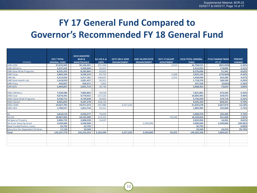## **FY 17 General Fund Compared to Governor's Recommended FY 18 General Fund**

|                                         |                     | <b>2018 ADJUSTED</b> |                    |                      |                          |                       |                           |                         |                |
|-----------------------------------------|---------------------|----------------------|--------------------|----------------------|--------------------------|-----------------------|---------------------------|-------------------------|----------------|
|                                         | <b>2017 TOTAL</b>   | <b>BASE &amp;</b>    | <b>Est COLA at</b> | <b>E275 UNLV-SOM</b> | <b>E287 SILVER STATE</b> | <b>E671 IT SALARY</b> | <b>2018 TOTAL GENERAL</b> | <b>FY18 CHANGE FROM</b> | <b>PERCENT</b> |
| <b>SCHOOL</b>                           | <b>GENERAL FUND</b> | <b>MAINTENANCE</b>   | 100%               | <b>ENHANCEMENT</b>   | <b>ENHANCEMENT</b>       | <b>ADJUSTMENT</b>     | <b>FUND</b>               | <b>FY 17</b>            | <b>CHANGE</b>  |
| <b>UNR-SOM</b>                          | 37,633,945          | 36,166,201           | 597,260            |                      |                          | 4,554                 | 36,768,015                | (865,930)               | $-2.30%$       |
| <b>UNR-Athletics</b>                    | 5,237,224           | 5,390,606            | 25,427             |                      |                          |                       | 5,416,033                 | 178,809                 | 3.41%          |
| <b>UNR-State Wide Programs</b>          | 8,225,355           | 8,182,865            | 93,831             |                      |                          |                       | 8,276,696                 | 51,341                  | 0.62%          |
| <b>UNR-Coop</b>                         | 3,866,204           | 3,596,224            | 94,743             |                      |                          | 4,268                 | 3,695,235                 | (170, 969)              | $-4.42%$       |
| <b>UNR-AG</b>                           | 5,214,656           | 5,317,181            | 138,607            |                      |                          | 2,252                 | 5,458,040                 | 243,384                 | 4.67%          |
| <b>UNR-State Health Lab</b>             | 1,618,029           | 1,691,457            | 26,921             |                      |                          |                       | 1.718.378                 | 100,349                 | 6.20%          |
| <b>UNR-Press</b>                        | 442,827             | 429,371              | 7,855              |                      |                          |                       | 437.226                   | (5,601)                 | $-1.26%$       |
| <b>UNR-BCN</b>                          | 1,994,827           | 2,031,715            | 36,746             |                      |                          |                       | 2,068,461                 | 73,634                  | 3.69%          |
|                                         |                     |                      |                    |                      |                          |                       |                           |                         |                |
| <b>UNLV-Athletics</b>                   | 7,358,586           | 7,802,863            | 29,018             |                      |                          |                       | 7,831,881                 | 473,295                 | 6.43%          |
| <b>UNLV-Law</b>                         | 9,676,491           | 9,778,431            | 227,532            |                      |                          |                       | 10,005,963                | 329,472                 | 3.40%          |
| <b>UNLV-State Wide Programs</b>         | 3,530,711           | 3,720,028            | 30,401             |                      |                          |                       | 3,750,429                 | 219,718                 | 6.22%          |
| <b>UNLV-Dental</b>                      | 8,665,053           | 9,187,278            | 318.116            |                      |                          |                       | 9,505,394                 | 840,341                 | 9.70%          |
| <b>UNLV-SOM</b>                         | 19,567,702          | 19,471,372           | 207,086            | 2,257,220            |                          |                       | 21,935,678                | 2,367,976               | 12.10%         |
| <b>UNLV-BCS</b>                         | 1,780,917           | 1,853,734            | 29,251             |                      |                          |                       | 1,882,985                 | 102,068                 | 5.73%          |
|                                         |                     |                      |                    |                      |                          |                       |                           |                         |                |
| <b>SA</b>                               | 4,818,510           | 4,930,277            | 70,693             |                      |                          |                       | 5,000,970                 | 182,460                 | 3.79%          |
| SA-SCS                                  | 18,007,064          | 18,105,090           | 214,325            |                      |                          | 39,249                | 18,358,664                | 351,600                 | 1.95%          |
| <b>SA-Special Projects</b>              | 2.006.735           | 2,008,299            | 14.637             |                      |                          |                       | 2.022.936                 | 16,201                  | 0.81%          |
| SA-Silver State Op Grant                | 2,500,000           | 2,500,000            | ٠                  |                      | 2,500,000                |                       | 5,000,000                 | 2,500,000               | 100.00%        |
| <b>State Funded Perkins Loans</b>       | 35,793              | 35,793               | $\sim$             |                      |                          |                       | 35,793                    |                         | 0.00%          |
| <b>Education for Dependent Children</b> | 17,150              | 33,569               |                    |                      |                          |                       | 33,569                    | 16,419                  | 95.74%         |
| <b>Total</b>                            | 142,197,779         | 142,232,354          | 2,162,449          | 2,257,220            | 2,500,000                | 50,323                | 149,202,346               | 7,004,567               |                |
|                                         |                     |                      |                    |                      |                          |                       |                           |                         |                |
|                                         |                     |                      |                    |                      |                          |                       |                           |                         |                |
|                                         |                     |                      |                    |                      |                          |                       |                           |                         |                |
|                                         |                     |                      |                    |                      |                          |                       |                           |                         |                |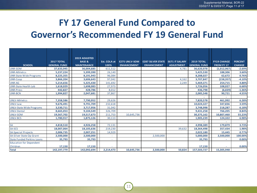## **FY 17 General Fund Compared to Governor's Recommended FY 19 General Fund**

|                                   |                     | <b>2019 ADJUSTED</b> |              |                      |                          |                       |                     |                    |                |
|-----------------------------------|---------------------|----------------------|--------------|----------------------|--------------------------|-----------------------|---------------------|--------------------|----------------|
|                                   | 2017 TOTAL          | <b>BASE &amp;</b>    | Est. COLA at | <b>E275 UNLV-SOM</b> | <b>E287 SILVER STATE</b> | <b>E671 IT SALARY</b> | <b>2019 TOTAL</b>   | <b>FY19 CHANGE</b> | <b>PERCENT</b> |
| <b>SCHOOL</b>                     | <b>GENERAL FUND</b> | <b>MAINTENANCE</b>   | 100%         | <b>ENHANCEMENT</b>   | <b>ENHANCEMENT</b>       | <b>ADJUSTMENT</b>     | <b>GENERAL FUND</b> | <b>FROM FY 17</b>  | <b>CHANGE</b>  |
| <b>UNR-SOM</b>                    | 37,633,945          | 36,004,685           | 611,512      |                      |                          | 4,781                 | 36,620,978          | (1,012,967)        | $-2.69%$       |
| <b>UNR-Athletics</b>              | 5,237,224           | 5,399,390            | 26,140       |                      |                          |                       | 5,425,530           | 188,306            | 3.60%          |
| <b>UNR-State Wide Programs</b>    | 8,225,355           | 8,191,943            | 96,084       |                      |                          |                       | 8,288,027           | 62,672             | 0.76%          |
| <b>UNR-Coop</b>                   | 3,866,204           | 3,606,643            | 97,042       |                      |                          | 4,162                 | 3,707,847           | (158, 357)         | $-4.10%$       |
| <b>UNR-AG</b>                     | 5,214,656           | 5,325,430            | 141,692      |                      |                          | 2,249                 | 5,469,371           | 254,715            | 4.88%          |
| <b>UNR-State Health Lab</b>       | 1,618,029           | 1,698,083            | 27,973       |                      |                          |                       | 1,726,056           | 108,027            | 6.68%          |
| <b>UNR-Press</b>                  | 442,827             | 428,786              | 8,012        |                      |                          |                       | 436,798             | (6,029)            | $-1.36%$       |
| <b>UNR-BCN</b>                    | 1,994,827           | 2,047,681            | 37,867       |                      |                          |                       | 2,085,548           | 90,721             | 4.55%          |
|                                   |                     |                      |              |                      |                          |                       |                     |                    |                |
| <b>UNLV-Athletics</b>             | 7,358,586           | 7,790,952            | 29,626       |                      |                          |                       | 7,820,578           | 461,992            | 6.28%          |
| <b>UNLV-Law</b>                   | 9,676,491           | 9,791,709            | 232,618      |                      |                          |                       | 10,024,327          | 347,836            | 3.59%          |
| <b>UNLV-State Wide Programs</b>   | 3,530,711           | 3,717,956            | 31,042       |                      |                          |                       | 3,748,998           | 218,287            | 6.18%          |
| <b>UNLV-Dental</b>                | 8,665,053           | 9,104,549            | 326,709      |                      |                          |                       | 9,431,258           | 766,205            | 8.84%          |
| UNLV-SOM                          | 19,567,702          | 19,517,673           | 211,753      | 10,645,736           |                          |                       | 30,375,162          | 10,807,460         | 55.23%         |
| <b>UNLV-BCS</b>                   | 1,780,917           | 1,875,126            | 30,113       |                      |                          |                       | 1,905,239           | 124,322            | 6.98%          |
|                                   |                     |                      |              |                      |                          |                       |                     |                    |                |
| <b>SA</b>                         | 4,818,510           | 4,926,258            | 72,131       |                      |                          |                       | 4,998,389           | 179,879            | 3.73%          |
| <b>SA-SCS</b>                     | 18,007,064          | 18,105,636           | 219,230      |                      |                          | 39,632                | 18,364,498          | 357,434            | 1.98%          |
| <b>SA-Special Projects</b>        | 2,006,735           | 2,007,251            | 14,929       |                      |                          |                       | 2,022,180           | 15,445             | 0.77%          |
| SA-Silver State Op Grant          | 2,500,000           | 2,500,000            | ÷.           |                      | 2,500,000                |                       | 5,000,000           | 2,500,000          | 100.00%        |
| <b>State Funded Perkins Loans</b> | 35,793              | 35,793               | $\sim$       |                      |                          |                       | 35,793              | ٠                  | 0.00%          |
| <b>Education for Dependent</b>    |                     |                      |              |                      |                          |                       |                     |                    |                |
| Children                          | 17,150              | 17,150               |              |                      |                          |                       | 17,150              |                    | 0.00%          |
| <b>Total</b>                      | 142,197,779         | 142,092,694          | 2,214,473    | 10,645,736           | 2,500,000                | 50,824                | 157,503,727         | 15,305,948         |                |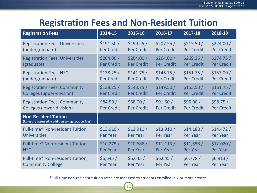### **Registration Fees and Non-Resident Tuition**

| <b>Registration Fees</b>                                                             | 2014-15           | 2015-16           | 2016-17           | 2017-18           | 2018-19           |
|--------------------------------------------------------------------------------------|-------------------|-------------------|-------------------|-------------------|-------------------|
| <b>Registration Fees, Universities</b>                                               | \$191.50/         | \$199.25/         | \$207.25/         | \$215.50/         | \$224.00/         |
| (undergraduate)                                                                      | <b>Per Credit</b> | <b>Per Credit</b> | <b>Per Credit</b> | <b>Per Credit</b> | <b>Per Credit</b> |
| <b>Registration Fees, Universities</b>                                               | \$264.00/         | \$264.00/         | \$264.00/         | \$269.25/         | \$274.75/         |
| (graduate)                                                                           | <b>Per Credit</b> | <b>Per Credit</b> | <b>Per Credit</b> | <b>Per Credit</b> | <b>Per Credit</b> |
| <b>Registration Fees, NSC</b>                                                        | \$138.25/         | \$141.75/         | \$146.75/         | \$151.75/         | \$157.00/         |
| (undergraduate)                                                                      | <b>Per Credit</b> | <b>Per Credit</b> | <b>Per Credit</b> | <b>Per Credit</b> | <b>Per Credit</b> |
| <b>Registration Fees, Community</b>                                                  | \$138.25/         | \$143.75/         | \$149.50/         | \$155.50/         | \$161.75/         |
| <b>Colleges (upper-division)</b>                                                     | <b>Per Credit</b> | <b>Per Credit</b> | <b>Per Credit</b> | <b>Per Credit</b> | <b>Per Credit</b> |
| <b>Registration Fees, Community</b>                                                  | \$84.50/          | \$88.00/          | \$91.50/          | \$95.00/          | \$98.75/          |
| <b>Colleges (lower-division)</b>                                                     | <b>Per Credit</b> | <b>Per Credit</b> | <b>Per Credit</b> | <b>Per Credit</b> | <b>Per Credit</b> |
| <b>Non-Resident Tuition</b><br>(Rates are assessed in addition to registration fees) |                   |                   |                   |                   |                   |
| Full-time* Non-resident Tuition,                                                     | \$13,910/         | \$13,910/         | \$13,910/         | \$14,188/         | \$14,472/         |
| Universities                                                                         | Per Year          | <b>Per Year</b>   | Per Year          | Per Year          | <b>Per Year</b>   |
| Full-time* Non-resident Tuition,                                                     | \$10,275/         | \$10,686/         | \$11,113/         | \$11,558/         | \$12.020/         |
| <b>NSC</b>                                                                           | Per Year          | <b>Per Year</b>   | Per Year          | Per Year          | Per Year          |
| Full-time* Non-resident Tuition,                                                     | \$6,645/          | \$6,645/          | \$6,645/          | \$6,778/          | \$6,913/          |
| <b>Community College</b>                                                             | <b>Per Year</b>   | <b>Per Year</b>   | Per Year          | Per Year          | Per Year          |

\*Full-time non-resident tuition rates are assessed to students enrolled in 7 or more credits.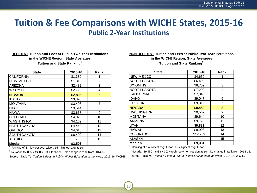### **Tuition & Fee Comparisons with WICHE States, 2015-16 Public 2-Year Institutions**

13

#### **RESIDENT Tuition and Fees at Public Two-Year Institutions Tuition and State Ranking<sup>1</sup> in the WICHE Region, State Averages**

| <b>State</b>        | 2015-16 | Rank |
|---------------------|---------|------|
| <b>CALIFORNIA</b>   | \$1,380 | 1    |
| <b>NEW MEXICO</b>   | \$1,810 | 2    |
| <b>ARIZONA</b>      | \$2,482 | 3    |
| <b>WYOMING</b>      | \$2,722 | 4    |
| NEVADA <sup>2</sup> | \$2,805 | 5    |
| <b>IDAHO</b>        | \$3,395 | 6    |
| <b>MONTANA</b>      | \$3,498 | 7    |
| <b>UTAH</b>         | \$3,514 | 8    |
| <b>HAWAII</b>       | \$3,668 | 9    |
| <b>COLORADO</b>     | \$4,025 | 10   |
| WASHINGTON          | \$4,169 | 11   |
| NORTH DAKOTA        | \$4,440 | 12   |
| <b>OREGON</b>       | \$4,610 | 13   |
| <b>SOUTH DAKOTA</b> | \$6,400 | 14   |
| <b>ALASKA</b>       |         | 15   |
| <b>Median</b>       | \$3,506 |      |

<sup>1</sup> Ranking of  $1 =$  low est avg. tuition;  $15 =$  highest avg. tuition.

<sup>2</sup> Nevada:  $$2,805 = ($88 \times 30) + tech fee$ . No change in rank from 2014-15.

Source: Table 7a, *Tuition & Fees In Public Higher Education in the West,* 2015-16, WICHE.

#### **NON-RESIDENT Tuition and Fees at Public Two-Year Institutions in the WICHE Region, State Averages Tuition and State Ranking<sup>1</sup>**

| <b>State</b>        | 2015-16  | Rank |
|---------------------|----------|------|
| <b>NEW MEXICO</b>   | \$4,650  | 1    |
| <b>SOUTH DAKOTA</b> | \$6,400  | 2    |
| <b>WYOMING</b>      | \$6,709  | 3    |
| NORTH DAKOTA        | \$7,202  | 4    |
| <b>CALIFORNIA</b>   | \$7,345  | 5    |
| <b>IDAHO</b>        | \$9,047  | 6    |
| <b>OREGON</b>       | \$9,312  | 7    |
| NEVADA <sup>2</sup> | \$9,450  | 8    |
| <b>WASHINGTON</b>   | \$9,562  | 9    |
| <b>MONTANA</b>      | \$9,644  | 10   |
| <b>ARIZONA</b>      | \$9,720  | 11   |
| <b>UTAH</b>         | \$9,831  | 12   |
| <b>HAWAII</b>       | \$9,908  | 13   |
| <b>COLORADO</b>     | \$12,769 | 14   |
| ALASKA              |          | 15   |
| <b>Median</b>       | \$9,381  |      |

<sup>1</sup> Ranking of 1 = low est avg. tuition; 15 = highest avg. tuition.

<sup>2</sup> Nevada:  $$9,450 = ($88 \times 30) +$  tech fee + non-resident tuition. No change in rank from 2014-15. Source: Table 7a, *Tuition & Fees In Public Higher Education in the West* , 2015-16, WICHE.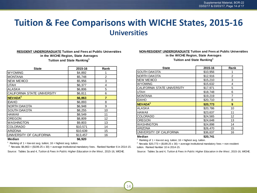#### **Tuition & Fee Comparisons with WICHE States, 2015-16 Universities**

#### **in the WICHE Region, State Averages Tuition and State Ranking<sup>1</sup> RESIDENT UNDERGRADUATE Tuition and Fees at Public Universities**

| State                       | 2015-16  | Rank           |
|-----------------------------|----------|----------------|
| <b>WYOMING</b>              | \$4,892  |                |
| <b>MONTANA</b>              | \$5,748  | $\overline{2}$ |
| <b>NEW MEXICO</b>           | \$5,956  | 3              |
| <b>UTAH</b>                 | \$6,377  | 4              |
| ALASKA                      | \$6,806  | 5              |
| CALIFORNIA STATE UNIVERSITY | \$6,811  | 6              |
| NEVADA <sup>2</sup>         | \$6,863  | 7              |
| <b>IDAHO</b>                | \$6,893  | 8              |
| NORTH DAKOTA                | \$6,948  | 9              |
| <b>SOUTH DAKOTA</b>         | \$8,255  | 10             |
| <b>HAWAII</b>               | \$8,549  | 11             |
| <b>OREGON</b>               | \$8,809  | 12             |
| <b>WASHINGTON</b>           | \$9,803  | 13             |
| <b>COLORADO</b>             | \$10,571 | 14             |
| <b>ARIZONA</b>              | \$10,639 | 15             |
| UNIVERSITY OF CALIFORNIA    | \$13,457 | 16             |
| Median                      | \$6,920  |                |

1 Ranking of  $1 =$  low est avg. tuition;  $16 =$  highest avg. tuition.

<sup>2</sup> Nevada: \$6,863 = (\$199.25 x 30) + average institutional mandatory fees. Ranked Number 6 in 2014-15.

Source: Tables 3a and 4, *Tuition & Fees In Public Higher Education in the West* , 2015-16, WICHE.

#### **NON-RESIDENT UNDERGRADUATE Tuition and Fees at Public Universities**

**in the WICHE Region, State Averages**

**Tuition and State Ranking<sup>1</sup>**

| <b>State</b>                | 2015-16  | Rank |
|-----------------------------|----------|------|
| <b>SOUTH DAKOTA</b>         | \$10,956 | 1    |
| <b>NORTH DAKOTA</b>         | \$12,916 | 2    |
| <b>NEW MEXICO</b>           | \$15,210 | 3    |
| <b>WYOMING</b>              | \$15,632 | 4    |
| CALIFORNIA STATE UNIVERSITY | \$17,971 | 5    |
| <b>UTAH</b>                 | \$18,748 | 6    |
| <b>MONTANA</b>              | \$19,219 | 7    |
| <b>IDAHO</b>                | \$20,710 | 8    |
| NEVADA <sup>2</sup>         | \$20,773 | 9    |
| ALASKA                      | \$20,786 | 10   |
| <b>HAWAII</b>               | \$23,637 | 11   |
| <b>COLORADO</b>             | \$24,565 | 12   |
| <b>OREGON</b>               | \$24,648 | 13   |
| WASHINGTON                  | \$24,898 | 14   |
| <b>ARIZONA</b>              | \$26,470 | 15   |
| UNIVERSITY OF CALIFORNIA    | \$36,637 | 16   |
| Median                      | \$20,741 |      |

<sup>1</sup> Ranking of 1 = low est avg. tuition; 16 = highest avg. tuition.

 $2$  Nevada: \$20,773 = (\$199.25 x 30) + average institutional mandatory fees + non-resident tuition. Ranked Number 10 in 2014-15.

Source: Tables 3a and 4, *Tuition & Fees In Public Higher Education in the West* , 2015-16, WICHE.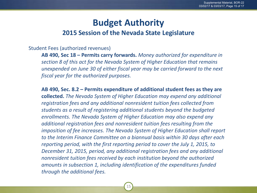# **Budget Authority**

#### **2015 Session of the Nevada State Legislature**

#### Student Fees (authorized revenues)

**AB 490, Sec 18 – Permits carry forwards.** *Money authorized for expenditure in section 8 of this act for the Nevada System of Higher Education that remains unexpended on June 30 of either fiscal year may be carried forward to the next fiscal year for the authorized purposes.*

**AB 490, Sec. 8.2 – Permits expenditure of additional student fees as they are collected.** *The Nevada System of Higher Education may expend any additional registration fees and any additional nonresident tuition fees collected from students as a result of registering additional students beyond the budgeted enrollments. The Nevada System of Higher Education may also expend any additional registration fees and nonresident tuition fees resulting from the imposition of fee increases. The Nevada System of Higher Education shall report to the Interim Finance Committee on a biannual basis within 30 days after each reporting period, with the first reporting period to cover the July 1, 2015, to December 31, 2015, period, any additional registration fees and any additional nonresident tuition fees received by each institution beyond the authorized amounts in subsection 1, including identification of the expenditures funded through the additional fees.*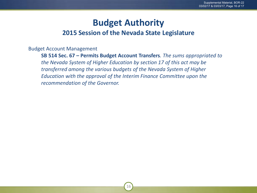### **Budget Authority**

#### **2015 Session of the Nevada State Legislature**

Budget Account Management

**SB 514 Sec. 67 – Permits Budget Account Transfers***. The sums appropriated to the Nevada System of Higher Education by section 17 of this act may be transferred among the various budgets of the Nevada System of Higher Education with the approval of the Interim Finance Committee upon the recommendation of the Governor.*